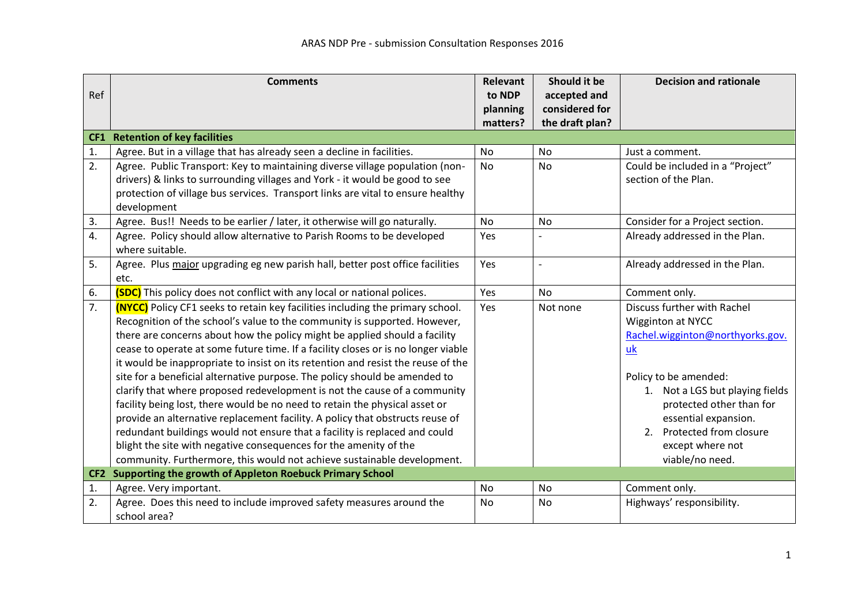|                 | <b>Comments</b>                                                                       | Relevant             | Should it be                      | <b>Decision and rationale</b>    |
|-----------------|---------------------------------------------------------------------------------------|----------------------|-----------------------------------|----------------------------------|
| Ref             |                                                                                       | to NDP               | accepted and                      |                                  |
|                 |                                                                                       | planning<br>matters? | considered for<br>the draft plan? |                                  |
|                 | <b>CF1</b> Retention of key facilities                                                |                      |                                   |                                  |
| 1.              | Agree. But in a village that has already seen a decline in facilities.                | <b>No</b>            | <b>No</b>                         | Just a comment.                  |
| 2.              | Agree. Public Transport: Key to maintaining diverse village population (non-          | <b>No</b>            | <b>No</b>                         | Could be included in a "Project" |
|                 | drivers) & links to surrounding villages and York - it would be good to see           |                      |                                   | section of the Plan.             |
|                 | protection of village bus services. Transport links are vital to ensure healthy       |                      |                                   |                                  |
|                 | development                                                                           |                      |                                   |                                  |
| 3.              | Agree. Bus!! Needs to be earlier / later, it otherwise will go naturally.             | <b>No</b>            | <b>No</b>                         | Consider for a Project section.  |
| 4.              | Agree. Policy should allow alternative to Parish Rooms to be developed                | Yes                  |                                   | Already addressed in the Plan.   |
|                 | where suitable.                                                                       |                      |                                   |                                  |
| 5.              | Agree. Plus major upgrading eg new parish hall, better post office facilities         | Yes                  | $\overline{a}$                    | Already addressed in the Plan.   |
|                 | etc.                                                                                  |                      |                                   |                                  |
| 6.              | <b>(SDC)</b> This policy does not conflict with any local or national polices.        | Yes                  | <b>No</b>                         | Comment only.                    |
| 7.              | <b>(NYCC)</b> Policy CF1 seeks to retain key facilities including the primary school. | Yes                  | Not none                          | Discuss further with Rachel      |
|                 | Recognition of the school's value to the community is supported. However,             |                      |                                   | Wigginton at NYCC                |
|                 | there are concerns about how the policy might be applied should a facility            |                      |                                   | Rachel.wigginton@northyorks.gov. |
|                 | cease to operate at some future time. If a facility closes or is no longer viable     |                      |                                   | $\underline{uk}$                 |
|                 | it would be inappropriate to insist on its retention and resist the reuse of the      |                      |                                   |                                  |
|                 | site for a beneficial alternative purpose. The policy should be amended to            |                      |                                   | Policy to be amended:            |
|                 | clarify that where proposed redevelopment is not the cause of a community             |                      |                                   | 1. Not a LGS but playing fields  |
|                 | facility being lost, there would be no need to retain the physical asset or           |                      |                                   | protected other than for         |
|                 | provide an alternative replacement facility. A policy that obstructs reuse of         |                      |                                   | essential expansion.             |
|                 | redundant buildings would not ensure that a facility is replaced and could            |                      |                                   | 2. Protected from closure        |
|                 | blight the site with negative consequences for the amenity of the                     |                      |                                   | except where not                 |
|                 | community. Furthermore, this would not achieve sustainable development.               |                      |                                   | viable/no need.                  |
| CF <sub>2</sub> | Supporting the growth of Appleton Roebuck Primary School                              |                      |                                   |                                  |
| 1.              | Agree. Very important.                                                                | No                   | No                                | Comment only.                    |
| 2.              | Agree. Does this need to include improved safety measures around the                  | No                   | No                                | Highways' responsibility.        |
|                 | school area?                                                                          |                      |                                   |                                  |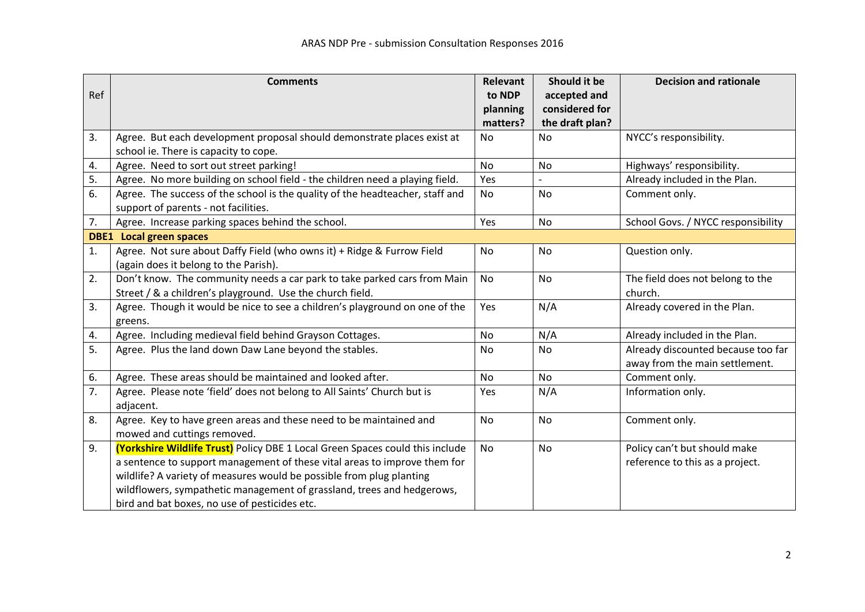|     | <b>Comments</b>                                                               | Relevant  | Should it be    | <b>Decision and rationale</b>      |
|-----|-------------------------------------------------------------------------------|-----------|-----------------|------------------------------------|
| Ref |                                                                               | to NDP    | accepted and    |                                    |
|     |                                                                               | planning  | considered for  |                                    |
|     |                                                                               | matters?  | the draft plan? |                                    |
| 3.  | Agree. But each development proposal should demonstrate places exist at       | No        | <b>No</b>       | NYCC's responsibility.             |
|     | school ie. There is capacity to cope.                                         |           |                 |                                    |
| 4.  | Agree. Need to sort out street parking!                                       | <b>No</b> | <b>No</b>       | Highways' responsibility.          |
| 5.  | Agree. No more building on school field - the children need a playing field.  | Yes       |                 | Already included in the Plan.      |
| 6.  | Agree. The success of the school is the quality of the headteacher, staff and | No        | No              | Comment only.                      |
|     | support of parents - not facilities.                                          |           |                 |                                    |
| 7.  | Agree. Increase parking spaces behind the school.                             | Yes       | No              | School Govs. / NYCC responsibility |
|     | <b>DBE1</b> Local green spaces                                                |           |                 |                                    |
| 1.  | Agree. Not sure about Daffy Field (who owns it) + Ridge & Furrow Field        | No        | No              | Question only.                     |
|     | (again does it belong to the Parish).                                         |           |                 |                                    |
| 2.  | Don't know. The community needs a car park to take parked cars from Main      | <b>No</b> | No              | The field does not belong to the   |
|     | Street / & a children's playground. Use the church field.                     |           |                 | church.                            |
| 3.  | Agree. Though it would be nice to see a children's playground on one of the   | Yes       | N/A             | Already covered in the Plan.       |
|     | greens.                                                                       |           |                 |                                    |
| 4.  | Agree. Including medieval field behind Grayson Cottages.                      | <b>No</b> | N/A             | Already included in the Plan.      |
| 5.  | Agree. Plus the land down Daw Lane beyond the stables.                        | No        | No              | Already discounted because too far |
|     |                                                                               |           |                 | away from the main settlement.     |
| 6.  | Agree. These areas should be maintained and looked after.                     | No        | No              | Comment only.                      |
| 7.  | Agree. Please note 'field' does not belong to All Saints' Church but is       | Yes       | N/A             | Information only.                  |
|     | adjacent.                                                                     |           |                 |                                    |
| 8.  | Agree. Key to have green areas and these need to be maintained and            | No        | No              | Comment only.                      |
|     | mowed and cuttings removed.                                                   |           |                 |                                    |
| 9.  | (Yorkshire Wildlife Trust) Policy DBE 1 Local Green Spaces could this include | <b>No</b> | <b>No</b>       | Policy can't but should make       |
|     | a sentence to support management of these vital areas to improve them for     |           |                 | reference to this as a project.    |
|     | wildlife? A variety of measures would be possible from plug planting          |           |                 |                                    |
|     | wildflowers, sympathetic management of grassland, trees and hedgerows,        |           |                 |                                    |
|     | bird and bat boxes, no use of pesticides etc.                                 |           |                 |                                    |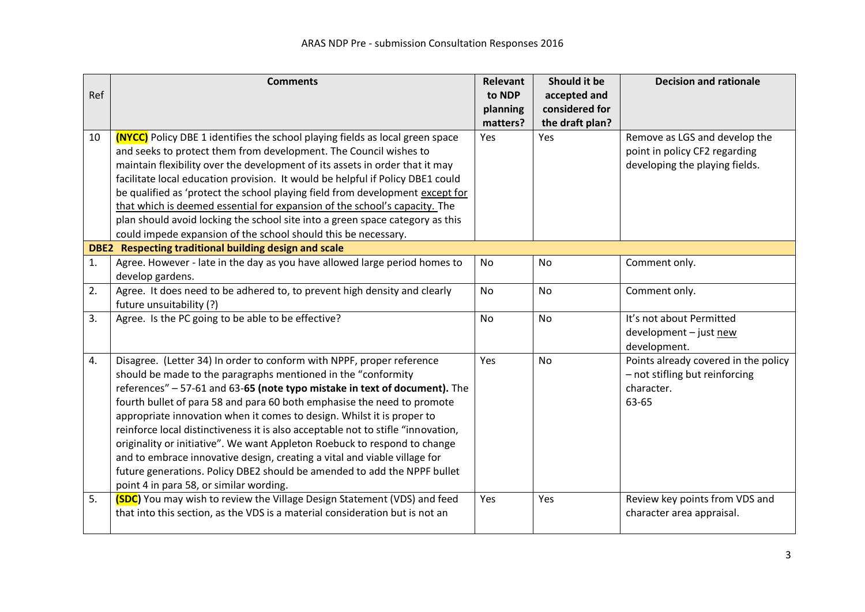|     | <b>Comments</b>                                                                      | <b>Relevant</b> | Should it be    | <b>Decision and rationale</b>        |
|-----|--------------------------------------------------------------------------------------|-----------------|-----------------|--------------------------------------|
| Ref |                                                                                      | to NDP          | accepted and    |                                      |
|     |                                                                                      | planning        | considered for  |                                      |
|     |                                                                                      | matters?        | the draft plan? |                                      |
| 10  | <b>(NYCC)</b> Policy DBE 1 identifies the school playing fields as local green space | Yes             | Yes             | Remove as LGS and develop the        |
|     | and seeks to protect them from development. The Council wishes to                    |                 |                 | point in policy CF2 regarding        |
|     | maintain flexibility over the development of its assets in order that it may         |                 |                 | developing the playing fields.       |
|     | facilitate local education provision. It would be helpful if Policy DBE1 could       |                 |                 |                                      |
|     | be qualified as 'protect the school playing field from development except for        |                 |                 |                                      |
|     | that which is deemed essential for expansion of the school's capacity. The           |                 |                 |                                      |
|     | plan should avoid locking the school site into a green space category as this        |                 |                 |                                      |
|     | could impede expansion of the school should this be necessary.                       |                 |                 |                                      |
|     | DBE2 Respecting traditional building design and scale                                |                 |                 |                                      |
| 1.  | Agree. However - late in the day as you have allowed large period homes to           | <b>No</b>       | <b>No</b>       | Comment only.                        |
|     | develop gardens.                                                                     |                 |                 |                                      |
| 2.  | Agree. It does need to be adhered to, to prevent high density and clearly            | <b>No</b>       | <b>No</b>       | Comment only.                        |
|     | future unsuitability (?)                                                             |                 |                 |                                      |
| 3.  | Agree. Is the PC going to be able to be effective?                                   | <b>No</b>       | <b>No</b>       | It's not about Permitted             |
|     |                                                                                      |                 |                 | development - just new               |
|     |                                                                                      |                 |                 | development.                         |
| 4.  | Disagree. (Letter 34) In order to conform with NPPF, proper reference                | Yes             | <b>No</b>       | Points already covered in the policy |
|     | should be made to the paragraphs mentioned in the "conformity                        |                 |                 | - not stifling but reinforcing       |
|     | references" - 57-61 and 63-65 (note typo mistake in text of document). The           |                 |                 | character.                           |
|     | fourth bullet of para 58 and para 60 both emphasise the need to promote              |                 |                 | 63-65                                |
|     | appropriate innovation when it comes to design. Whilst it is proper to               |                 |                 |                                      |
|     | reinforce local distinctiveness it is also acceptable not to stifle "innovation,     |                 |                 |                                      |
|     | originality or initiative". We want Appleton Roebuck to respond to change            |                 |                 |                                      |
|     | and to embrace innovative design, creating a vital and viable village for            |                 |                 |                                      |
|     | future generations. Policy DBE2 should be amended to add the NPPF bullet             |                 |                 |                                      |
|     | point 4 in para 58, or similar wording.                                              |                 |                 |                                      |
| 5.  | (SDC) You may wish to review the Village Design Statement (VDS) and feed             | Yes             | Yes             | Review key points from VDS and       |
|     | that into this section, as the VDS is a material consideration but is not an         |                 |                 | character area appraisal.            |
|     |                                                                                      |                 |                 |                                      |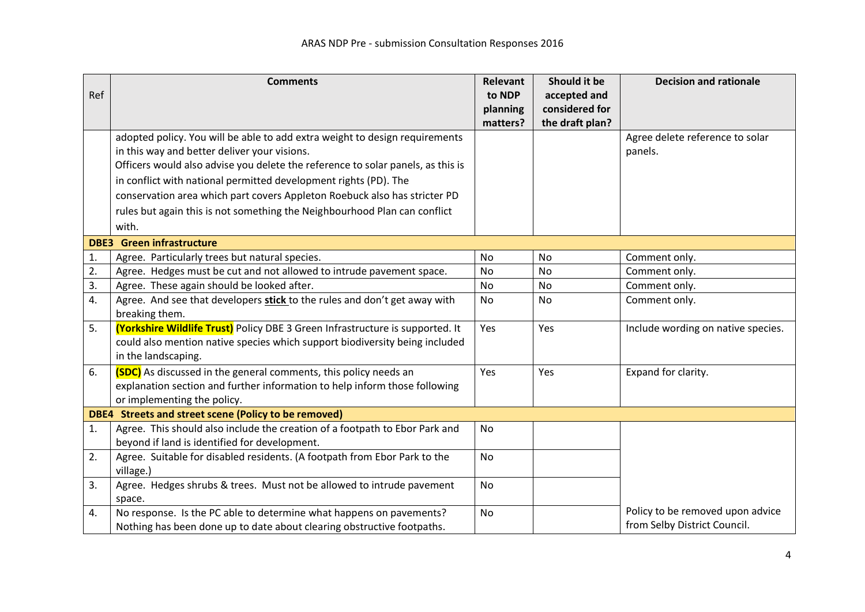|     | <b>Comments</b>                                                                 | <b>Relevant</b> | Should it be    | <b>Decision and rationale</b>      |
|-----|---------------------------------------------------------------------------------|-----------------|-----------------|------------------------------------|
| Ref |                                                                                 | to NDP          | accepted and    |                                    |
|     |                                                                                 | planning        | considered for  |                                    |
|     |                                                                                 | matters?        | the draft plan? |                                    |
|     | adopted policy. You will be able to add extra weight to design requirements     |                 |                 | Agree delete reference to solar    |
|     | in this way and better deliver your visions.                                    |                 |                 | panels.                            |
|     | Officers would also advise you delete the reference to solar panels, as this is |                 |                 |                                    |
|     | in conflict with national permitted development rights (PD). The                |                 |                 |                                    |
|     | conservation area which part covers Appleton Roebuck also has stricter PD       |                 |                 |                                    |
|     | rules but again this is not something the Neighbourhood Plan can conflict       |                 |                 |                                    |
|     | with.                                                                           |                 |                 |                                    |
|     | <b>DBE3</b> Green infrastructure                                                |                 |                 |                                    |
| 1.  | Agree. Particularly trees but natural species.                                  | No              | No              | Comment only.                      |
| 2.  | Agree. Hedges must be cut and not allowed to intrude pavement space.            | No              | No              | Comment only.                      |
| 3.  | Agree. These again should be looked after.                                      | No              | No              | Comment only.                      |
| 4.  | Agree. And see that developers stick to the rules and don't get away with       | No              | No              | Comment only.                      |
|     | breaking them.                                                                  |                 |                 |                                    |
| 5.  | (Yorkshire Wildlife Trust) Policy DBE 3 Green Infrastructure is supported. It   | Yes             | Yes             | Include wording on native species. |
|     | could also mention native species which support biodiversity being included     |                 |                 |                                    |
|     | in the landscaping.                                                             |                 |                 |                                    |
| 6.  | (SDC) As discussed in the general comments, this policy needs an                | Yes             | Yes             | Expand for clarity.                |
|     | explanation section and further information to help inform those following      |                 |                 |                                    |
|     | or implementing the policy.                                                     |                 |                 |                                    |
|     | DBE4 Streets and street scene (Policy to be removed)                            |                 |                 |                                    |
| 1.  | Agree. This should also include the creation of a footpath to Ebor Park and     | <b>No</b>       |                 |                                    |
|     | beyond if land is identified for development.                                   |                 |                 |                                    |
| 2.  | Agree. Suitable for disabled residents. (A footpath from Ebor Park to the       | <b>No</b>       |                 |                                    |
|     | village.)                                                                       |                 |                 |                                    |
| 3.  | Agree. Hedges shrubs & trees. Must not be allowed to intrude pavement           | <b>No</b>       |                 |                                    |
|     | space.                                                                          |                 |                 |                                    |
| 4.  | No response. Is the PC able to determine what happens on pavements?             | No              |                 | Policy to be removed upon advice   |
|     | Nothing has been done up to date about clearing obstructive footpaths.          |                 |                 | from Selby District Council.       |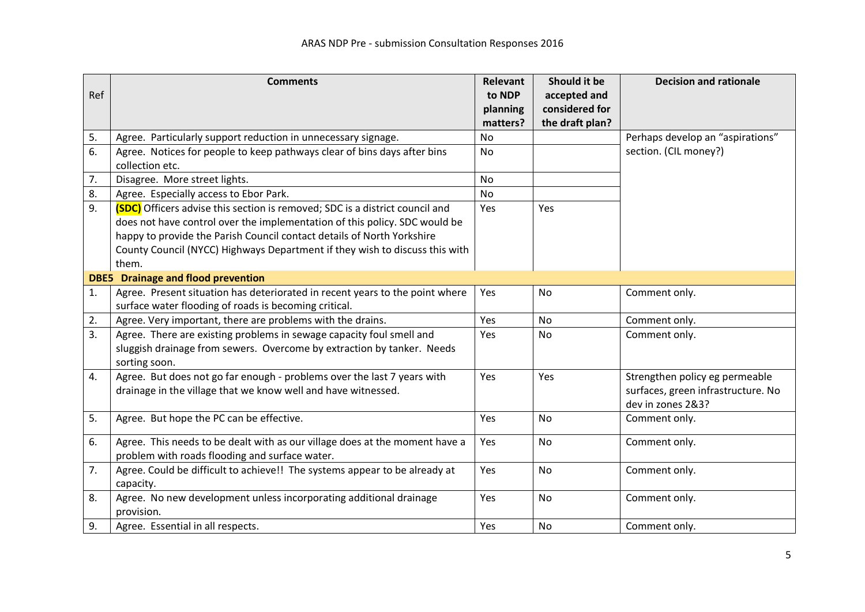|     | <b>Comments</b>                                                                                                                                                                                                                                                                                                              | <b>Relevant</b> | Should it be    | <b>Decision and rationale</b>                                                             |
|-----|------------------------------------------------------------------------------------------------------------------------------------------------------------------------------------------------------------------------------------------------------------------------------------------------------------------------------|-----------------|-----------------|-------------------------------------------------------------------------------------------|
| Ref |                                                                                                                                                                                                                                                                                                                              | to NDP          | accepted and    |                                                                                           |
|     |                                                                                                                                                                                                                                                                                                                              | planning        | considered for  |                                                                                           |
|     |                                                                                                                                                                                                                                                                                                                              | matters?        | the draft plan? |                                                                                           |
| 5.  | Agree. Particularly support reduction in unnecessary signage.                                                                                                                                                                                                                                                                | No              |                 | Perhaps develop an "aspirations"                                                          |
| 6.  | Agree. Notices for people to keep pathways clear of bins days after bins<br>collection etc.                                                                                                                                                                                                                                  | <b>No</b>       |                 | section. (CIL money?)                                                                     |
| 7.  | Disagree. More street lights.                                                                                                                                                                                                                                                                                                | <b>No</b>       |                 |                                                                                           |
| 8.  | Agree. Especially access to Ebor Park.                                                                                                                                                                                                                                                                                       | <b>No</b>       |                 |                                                                                           |
| 9.  | (SDC) Officers advise this section is removed; SDC is a district council and<br>does not have control over the implementation of this policy. SDC would be<br>happy to provide the Parish Council contact details of North Yorkshire<br>County Council (NYCC) Highways Department if they wish to discuss this with<br>them. | Yes             | Yes             |                                                                                           |
|     | <b>DBE5</b> Drainage and flood prevention                                                                                                                                                                                                                                                                                    |                 |                 |                                                                                           |
| 1.  | Agree. Present situation has deteriorated in recent years to the point where<br>surface water flooding of roads is becoming critical.                                                                                                                                                                                        | Yes             | No              | Comment only.                                                                             |
| 2.  | Agree. Very important, there are problems with the drains.                                                                                                                                                                                                                                                                   | Yes             | <b>No</b>       | Comment only.                                                                             |
| 3.  | Agree. There are existing problems in sewage capacity foul smell and                                                                                                                                                                                                                                                         | Yes             | <b>No</b>       | Comment only.                                                                             |
|     | sluggish drainage from sewers. Overcome by extraction by tanker. Needs<br>sorting soon.                                                                                                                                                                                                                                      |                 |                 |                                                                                           |
| 4.  | Agree. But does not go far enough - problems over the last 7 years with<br>drainage in the village that we know well and have witnessed.                                                                                                                                                                                     | Yes             | Yes             | Strengthen policy eg permeable<br>surfaces, green infrastructure. No<br>dev in zones 2&3? |
| 5.  | Agree. But hope the PC can be effective.                                                                                                                                                                                                                                                                                     | Yes             | <b>No</b>       | Comment only.                                                                             |
| 6.  | Agree. This needs to be dealt with as our village does at the moment have a<br>problem with roads flooding and surface water.                                                                                                                                                                                                | Yes             | <b>No</b>       | Comment only.                                                                             |
| 7.  | Agree. Could be difficult to achieve!! The systems appear to be already at<br>capacity.                                                                                                                                                                                                                                      | Yes             | No              | Comment only.                                                                             |
| 8.  | Agree. No new development unless incorporating additional drainage<br>provision.                                                                                                                                                                                                                                             | Yes             | <b>No</b>       | Comment only.                                                                             |
| 9.  | Agree. Essential in all respects.                                                                                                                                                                                                                                                                                            | Yes             | No              | Comment only.                                                                             |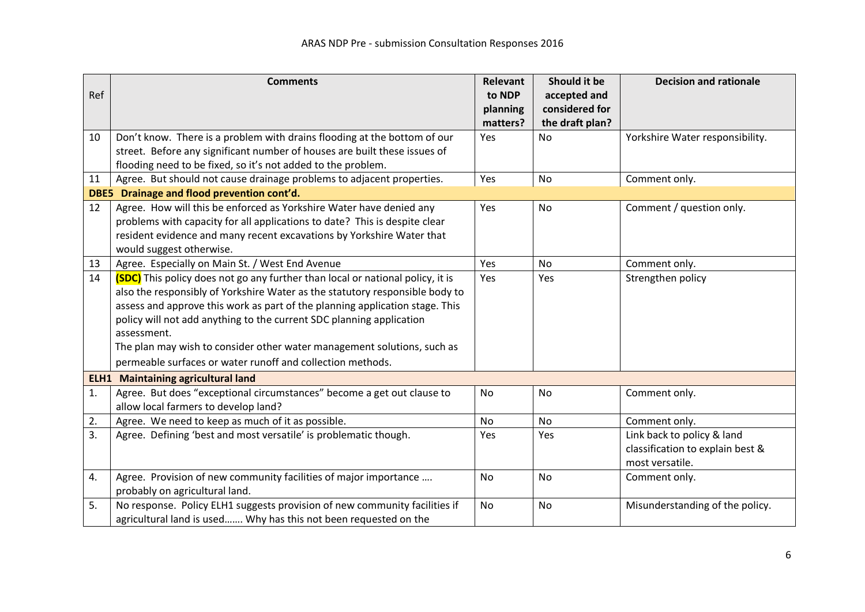|     | <b>Comments</b>                                                                       | <b>Relevant</b> | Should it be    | <b>Decision and rationale</b>    |
|-----|---------------------------------------------------------------------------------------|-----------------|-----------------|----------------------------------|
| Ref |                                                                                       | to NDP          | accepted and    |                                  |
|     |                                                                                       | planning        | considered for  |                                  |
|     |                                                                                       | matters?        | the draft plan? |                                  |
| 10  | Don't know. There is a problem with drains flooding at the bottom of our              | Yes             | <b>No</b>       | Yorkshire Water responsibility.  |
|     | street. Before any significant number of houses are built these issues of             |                 |                 |                                  |
|     | flooding need to be fixed, so it's not added to the problem.                          |                 |                 |                                  |
| 11  | Agree. But should not cause drainage problems to adjacent properties.                 | Yes             | <b>No</b>       | Comment only.                    |
|     | DBE5 Drainage and flood prevention cont'd.                                            |                 |                 |                                  |
| 12  | Agree. How will this be enforced as Yorkshire Water have denied any                   | Yes             | No              | Comment / question only.         |
|     | problems with capacity for all applications to date? This is despite clear            |                 |                 |                                  |
|     | resident evidence and many recent excavations by Yorkshire Water that                 |                 |                 |                                  |
|     | would suggest otherwise.                                                              |                 |                 |                                  |
| 13  | Agree. Especially on Main St. / West End Avenue                                       | Yes             | <b>No</b>       | Comment only.                    |
| 14  | <b>(SDC)</b> This policy does not go any further than local or national policy, it is | Yes             | Yes             | Strengthen policy                |
|     | also the responsibly of Yorkshire Water as the statutory responsible body to          |                 |                 |                                  |
|     | assess and approve this work as part of the planning application stage. This          |                 |                 |                                  |
|     | policy will not add anything to the current SDC planning application                  |                 |                 |                                  |
|     | assessment.                                                                           |                 |                 |                                  |
|     | The plan may wish to consider other water management solutions, such as               |                 |                 |                                  |
|     | permeable surfaces or water runoff and collection methods.                            |                 |                 |                                  |
|     | <b>ELH1</b> Maintaining agricultural land                                             |                 |                 |                                  |
| 1.  | Agree. But does "exceptional circumstances" become a get out clause to                | <b>No</b>       | <b>No</b>       | Comment only.                    |
|     | allow local farmers to develop land?                                                  |                 |                 |                                  |
| 2.  | Agree. We need to keep as much of it as possible.                                     | No              | No              | Comment only.                    |
| 3.  | Agree. Defining 'best and most versatile' is problematic though.                      | Yes             | Yes             | Link back to policy & land       |
|     |                                                                                       |                 |                 | classification to explain best & |
|     |                                                                                       |                 |                 | most versatile.                  |
| 4.  | Agree. Provision of new community facilities of major importance                      | No              | No              | Comment only.                    |
|     | probably on agricultural land.                                                        |                 |                 |                                  |
| 5.  | No response. Policy ELH1 suggests provision of new community facilities if            | No              | No              | Misunderstanding of the policy.  |
|     | agricultural land is used Why has this not been requested on the                      |                 |                 |                                  |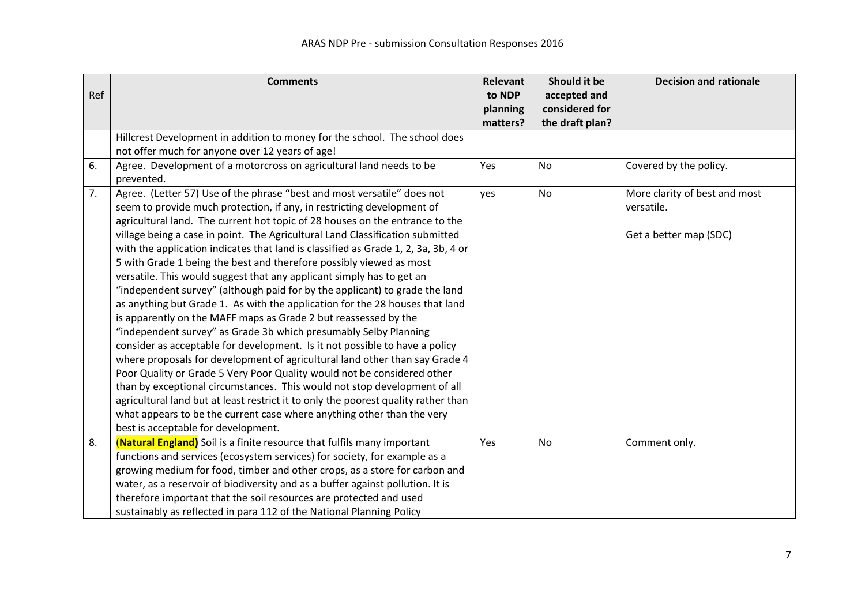|     | <b>Comments</b>                                                                    | <b>Relevant</b>    | Should it be                   | <b>Decision and rationale</b> |
|-----|------------------------------------------------------------------------------------|--------------------|--------------------------------|-------------------------------|
| Ref |                                                                                    | to NDP<br>planning | accepted and<br>considered for |                               |
|     |                                                                                    | matters?           | the draft plan?                |                               |
|     | Hillcrest Development in addition to money for the school. The school does         |                    |                                |                               |
|     | not offer much for anyone over 12 years of age!                                    |                    |                                |                               |
| 6.  | Agree. Development of a motorcross on agricultural land needs to be<br>prevented.  | Yes                | No                             | Covered by the policy.        |
| 7.  | Agree. (Letter 57) Use of the phrase "best and most versatile" does not            |                    | No                             | More clarity of best and most |
|     | seem to provide much protection, if any, in restricting development of             | yes                |                                | versatile.                    |
|     | agricultural land. The current hot topic of 28 houses on the entrance to the       |                    |                                |                               |
|     | village being a case in point. The Agricultural Land Classification submitted      |                    |                                | Get a better map (SDC)        |
|     | with the application indicates that land is classified as Grade 1, 2, 3a, 3b, 4 or |                    |                                |                               |
|     | 5 with Grade 1 being the best and therefore possibly viewed as most                |                    |                                |                               |
|     | versatile. This would suggest that any applicant simply has to get an              |                    |                                |                               |
|     | "independent survey" (although paid for by the applicant) to grade the land        |                    |                                |                               |
|     | as anything but Grade 1. As with the application for the 28 houses that land       |                    |                                |                               |
|     | is apparently on the MAFF maps as Grade 2 but reassessed by the                    |                    |                                |                               |
|     | "independent survey" as Grade 3b which presumably Selby Planning                   |                    |                                |                               |
|     | consider as acceptable for development. Is it not possible to have a policy        |                    |                                |                               |
|     | where proposals for development of agricultural land other than say Grade 4        |                    |                                |                               |
|     | Poor Quality or Grade 5 Very Poor Quality would not be considered other            |                    |                                |                               |
|     | than by exceptional circumstances. This would not stop development of all          |                    |                                |                               |
|     | agricultural land but at least restrict it to only the poorest quality rather than |                    |                                |                               |
|     | what appears to be the current case where anything other than the very             |                    |                                |                               |
|     | best is acceptable for development.                                                |                    |                                |                               |
| 8.  | (Natural England) Soil is a finite resource that fulfils many important            | Yes                | No                             | Comment only.                 |
|     | functions and services (ecosystem services) for society, for example as a          |                    |                                |                               |
|     | growing medium for food, timber and other crops, as a store for carbon and         |                    |                                |                               |
|     | water, as a reservoir of biodiversity and as a buffer against pollution. It is     |                    |                                |                               |
|     | therefore important that the soil resources are protected and used                 |                    |                                |                               |
|     | sustainably as reflected in para 112 of the National Planning Policy               |                    |                                |                               |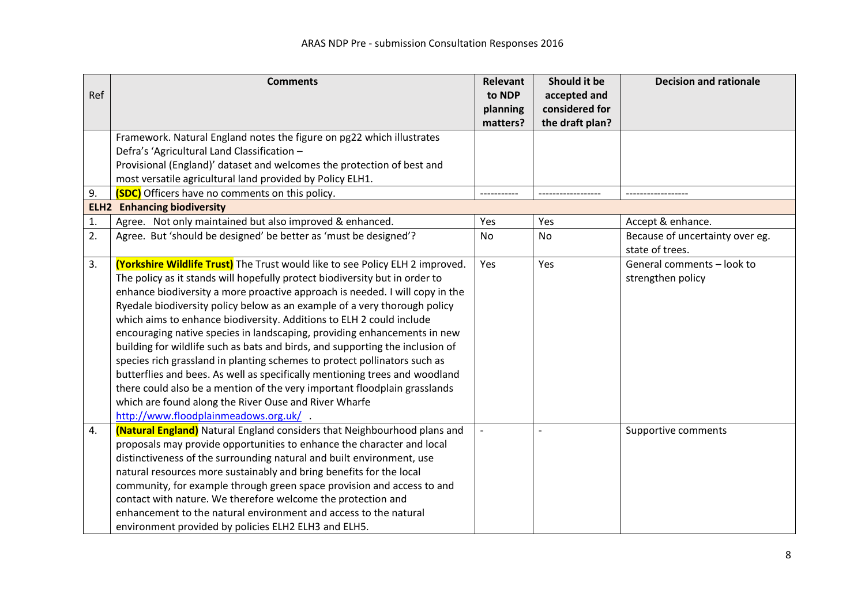|     | <b>Comments</b>                                                               | <b>Relevant</b> | Should it be    | <b>Decision and rationale</b>   |
|-----|-------------------------------------------------------------------------------|-----------------|-----------------|---------------------------------|
| Ref |                                                                               | to NDP          | accepted and    |                                 |
|     |                                                                               | planning        | considered for  |                                 |
|     |                                                                               | matters?        | the draft plan? |                                 |
|     | Framework. Natural England notes the figure on pg22 which illustrates         |                 |                 |                                 |
|     | Defra's 'Agricultural Land Classification -                                   |                 |                 |                                 |
|     | Provisional (England)' dataset and welcomes the protection of best and        |                 |                 |                                 |
|     | most versatile agricultural land provided by Policy ELH1.                     |                 |                 |                                 |
| 9.  | (SDC) Officers have no comments on this policy.                               | -----------     |                 |                                 |
|     | <b>ELH2</b> Enhancing biodiversity                                            |                 |                 |                                 |
| 1.  | Agree. Not only maintained but also improved & enhanced.                      | Yes             | Yes             | Accept & enhance.               |
| 2.  | Agree. But 'should be designed' be better as 'must be designed'?              | No              | No              | Because of uncertainty over eg. |
|     |                                                                               |                 |                 | state of trees.                 |
| 3.  | (Yorkshire Wildlife Trust) The Trust would like to see Policy ELH 2 improved. | Yes             | Yes             | General comments - look to      |
|     | The policy as it stands will hopefully protect biodiversity but in order to   |                 |                 | strengthen policy               |
|     | enhance biodiversity a more proactive approach is needed. I will copy in the  |                 |                 |                                 |
|     | Ryedale biodiversity policy below as an example of a very thorough policy     |                 |                 |                                 |
|     | which aims to enhance biodiversity. Additions to ELH 2 could include          |                 |                 |                                 |
|     | encouraging native species in landscaping, providing enhancements in new      |                 |                 |                                 |
|     | building for wildlife such as bats and birds, and supporting the inclusion of |                 |                 |                                 |
|     | species rich grassland in planting schemes to protect pollinators such as     |                 |                 |                                 |
|     | butterflies and bees. As well as specifically mentioning trees and woodland   |                 |                 |                                 |
|     | there could also be a mention of the very important floodplain grasslands     |                 |                 |                                 |
|     | which are found along the River Ouse and River Wharfe                         |                 |                 |                                 |
|     | http://www.floodplainmeadows.org.uk/                                          |                 |                 |                                 |
| 4.  | (Natural England) Natural England considers that Neighbourhood plans and      |                 |                 | Supportive comments             |
|     | proposals may provide opportunities to enhance the character and local        |                 |                 |                                 |
|     | distinctiveness of the surrounding natural and built environment, use         |                 |                 |                                 |
|     | natural resources more sustainably and bring benefits for the local           |                 |                 |                                 |
|     | community, for example through green space provision and access to and        |                 |                 |                                 |
|     | contact with nature. We therefore welcome the protection and                  |                 |                 |                                 |
|     | enhancement to the natural environment and access to the natural              |                 |                 |                                 |
|     | environment provided by policies ELH2 ELH3 and ELH5.                          |                 |                 |                                 |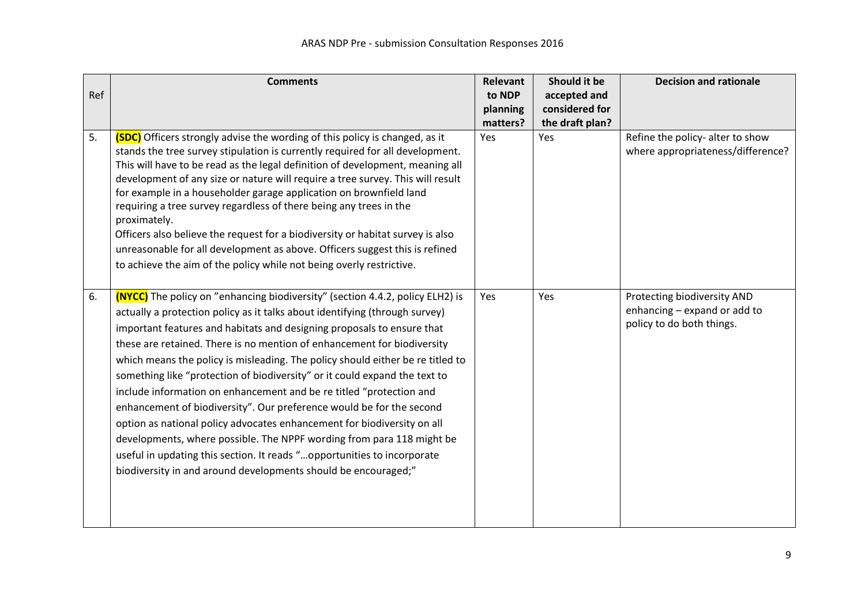|     | <b>Comments</b>                                                                                                                                                                                                                                                                                                                                                                                                                                                                                                                                                                                                                                                                                                                                                                                                                                                                                                                          | <b>Relevant</b> | Should it be    | <b>Decision and rationale</b>                                                            |
|-----|------------------------------------------------------------------------------------------------------------------------------------------------------------------------------------------------------------------------------------------------------------------------------------------------------------------------------------------------------------------------------------------------------------------------------------------------------------------------------------------------------------------------------------------------------------------------------------------------------------------------------------------------------------------------------------------------------------------------------------------------------------------------------------------------------------------------------------------------------------------------------------------------------------------------------------------|-----------------|-----------------|------------------------------------------------------------------------------------------|
| Ref |                                                                                                                                                                                                                                                                                                                                                                                                                                                                                                                                                                                                                                                                                                                                                                                                                                                                                                                                          | to NDP          | accepted and    |                                                                                          |
|     |                                                                                                                                                                                                                                                                                                                                                                                                                                                                                                                                                                                                                                                                                                                                                                                                                                                                                                                                          | planning        | considered for  |                                                                                          |
|     |                                                                                                                                                                                                                                                                                                                                                                                                                                                                                                                                                                                                                                                                                                                                                                                                                                                                                                                                          | matters?        | the draft plan? |                                                                                          |
| 5.  | <b>(SDC)</b> Officers strongly advise the wording of this policy is changed, as it<br>stands the tree survey stipulation is currently required for all development.<br>This will have to be read as the legal definition of development, meaning all<br>development of any size or nature will require a tree survey. This will result<br>for example in a householder garage application on brownfield land<br>requiring a tree survey regardless of there being any trees in the<br>proximately.<br>Officers also believe the request for a biodiversity or habitat survey is also<br>unreasonable for all development as above. Officers suggest this is refined<br>to achieve the aim of the policy while not being overly restrictive.                                                                                                                                                                                              | Yes             | <b>Yes</b>      | Refine the policy- alter to show<br>where appropriateness/difference?                    |
| 6.  | <b>(NYCC)</b> The policy on "enhancing biodiversity" (section 4.4.2, policy ELH2) is<br>actually a protection policy as it talks about identifying (through survey)<br>important features and habitats and designing proposals to ensure that<br>these are retained. There is no mention of enhancement for biodiversity<br>which means the policy is misleading. The policy should either be re titled to<br>something like "protection of biodiversity" or it could expand the text to<br>include information on enhancement and be re titled "protection and<br>enhancement of biodiversity". Our preference would be for the second<br>option as national policy advocates enhancement for biodiversity on all<br>developments, where possible. The NPPF wording from para 118 might be<br>useful in updating this section. It reads "opportunities to incorporate<br>biodiversity in and around developments should be encouraged;" | Yes             | Yes             | Protecting biodiversity AND<br>enhancing - expand or add to<br>policy to do both things. |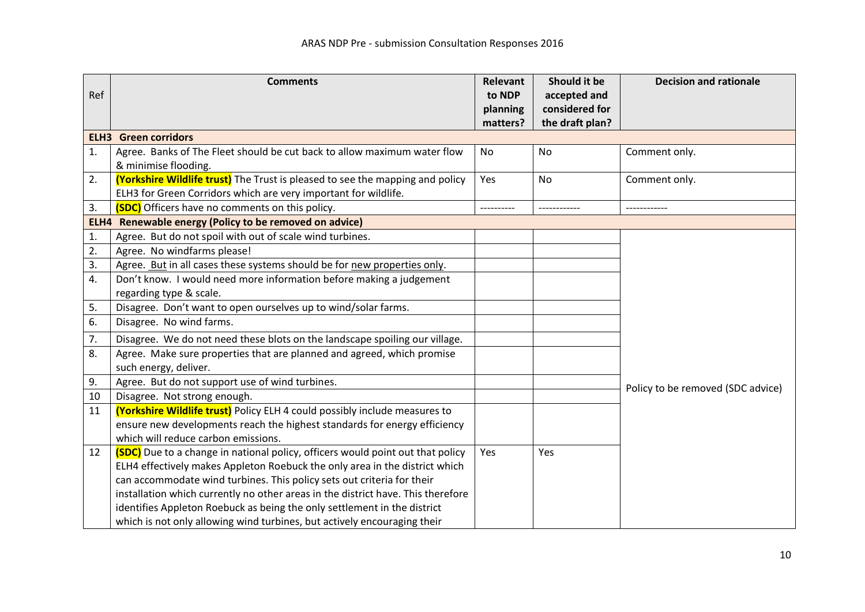|     | <b>Comments</b>                                                                       | Relevant | Should it be    | <b>Decision and rationale</b>     |
|-----|---------------------------------------------------------------------------------------|----------|-----------------|-----------------------------------|
| Ref |                                                                                       | to NDP   | accepted and    |                                   |
|     |                                                                                       | planning | considered for  |                                   |
|     |                                                                                       | matters? | the draft plan? |                                   |
|     | <b>ELH3</b> Green corridors                                                           |          |                 |                                   |
| 1.  | Agree. Banks of The Fleet should be cut back to allow maximum water flow              | No       | No              | Comment only.                     |
|     | & minimise flooding.                                                                  |          |                 |                                   |
| 2.  | (Yorkshire Wildlife trust) The Trust is pleased to see the mapping and policy         | Yes      | No              | Comment only.                     |
|     | ELH3 for Green Corridors which are very important for wildlife.                       |          |                 |                                   |
| 3.  | (SDC) Officers have no comments on this policy.                                       |          |                 |                                   |
|     | ELH4 Renewable energy (Policy to be removed on advice)                                |          |                 |                                   |
| 1.  | Agree. But do not spoil with out of scale wind turbines.                              |          |                 |                                   |
| 2.  | Agree. No windfarms please!                                                           |          |                 |                                   |
| 3.  | Agree. But in all cases these systems should be for new properties only.              |          |                 |                                   |
| 4.  | Don't know. I would need more information before making a judgement                   |          |                 |                                   |
|     | regarding type & scale.                                                               |          |                 |                                   |
| 5.  | Disagree. Don't want to open ourselves up to wind/solar farms.                        |          |                 |                                   |
| 6.  | Disagree. No wind farms.                                                              |          |                 |                                   |
| 7.  | Disagree. We do not need these blots on the landscape spoiling our village.           |          |                 |                                   |
| 8.  | Agree. Make sure properties that are planned and agreed, which promise                |          |                 |                                   |
|     | such energy, deliver.                                                                 |          |                 |                                   |
| 9.  | Agree. But do not support use of wind turbines.                                       |          |                 | Policy to be removed (SDC advice) |
| 10  | Disagree. Not strong enough.                                                          |          |                 |                                   |
| 11  | (Yorkshire Wildlife trust) Policy ELH 4 could possibly include measures to            |          |                 |                                   |
|     | ensure new developments reach the highest standards for energy efficiency             |          |                 |                                   |
|     | which will reduce carbon emissions                                                    |          |                 |                                   |
| 12  | <b>(SDC)</b> Due to a change in national policy, officers would point out that policy | Yes      | Yes             |                                   |
|     | ELH4 effectively makes Appleton Roebuck the only area in the district which           |          |                 |                                   |
|     | can accommodate wind turbines. This policy sets out criteria for their                |          |                 |                                   |
|     | installation which currently no other areas in the district have. This therefore      |          |                 |                                   |
|     | identifies Appleton Roebuck as being the only settlement in the district              |          |                 |                                   |
|     | which is not only allowing wind turbines, but actively encouraging their              |          |                 |                                   |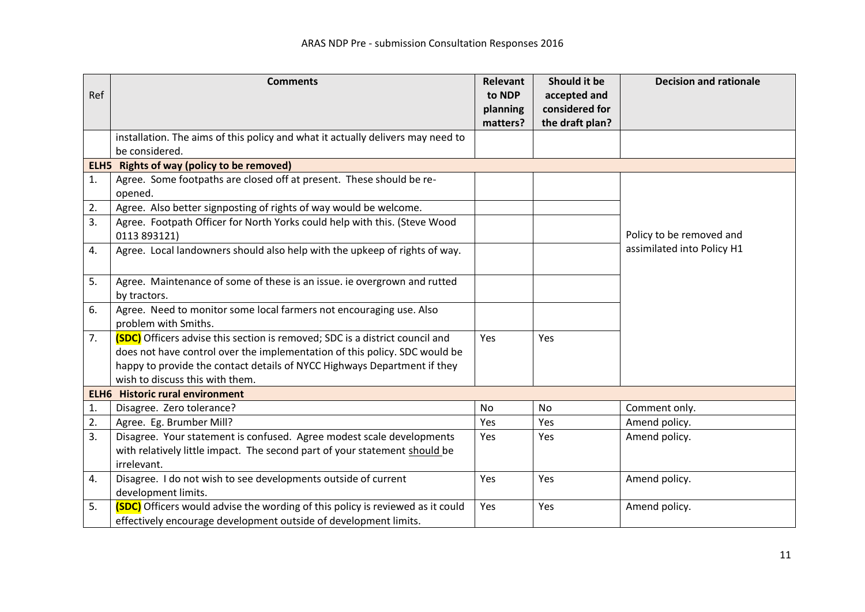|     | <b>Comments</b>                                                                 | <b>Relevant</b> | Should it be    | <b>Decision and rationale</b> |
|-----|---------------------------------------------------------------------------------|-----------------|-----------------|-------------------------------|
| Ref |                                                                                 | to NDP          | accepted and    |                               |
|     |                                                                                 | planning        | considered for  |                               |
|     | installation. The aims of this policy and what it actually delivers may need to | matters?        | the draft plan? |                               |
|     | be considered.                                                                  |                 |                 |                               |
|     | ELH5 Rights of way (policy to be removed)                                       |                 |                 |                               |
| 1.  | Agree. Some footpaths are closed off at present. These should be re-            |                 |                 |                               |
|     | opened.                                                                         |                 |                 |                               |
| 2.  | Agree. Also better signposting of rights of way would be welcome.               |                 |                 |                               |
| 3.  | Agree. Footpath Officer for North Yorks could help with this. (Steve Wood       |                 |                 |                               |
|     | 0113 893121)                                                                    |                 |                 | Policy to be removed and      |
| 4.  | Agree. Local landowners should also help with the upkeep of rights of way.      |                 |                 | assimilated into Policy H1    |
|     |                                                                                 |                 |                 |                               |
| 5.  | Agree. Maintenance of some of these is an issue. ie overgrown and rutted        |                 |                 |                               |
|     | by tractors.                                                                    |                 |                 |                               |
| 6.  | Agree. Need to monitor some local farmers not encouraging use. Also             |                 |                 |                               |
|     | problem with Smiths.                                                            |                 |                 |                               |
| 7.  | (SDC) Officers advise this section is removed; SDC is a district council and    | Yes             | Yes             |                               |
|     | does not have control over the implementation of this policy. SDC would be      |                 |                 |                               |
|     | happy to provide the contact details of NYCC Highways Department if they        |                 |                 |                               |
|     | wish to discuss this with them.                                                 |                 |                 |                               |
|     | <b>ELH6</b> Historic rural environment                                          |                 |                 |                               |
| 1.  | Disagree. Zero tolerance?                                                       | <b>No</b>       | No              | Comment only.                 |
| 2.  | Agree. Eg. Brumber Mill?                                                        | Yes             | Yes             | Amend policy.                 |
| 3.  | Disagree. Your statement is confused. Agree modest scale developments           | Yes             | Yes             | Amend policy.                 |
|     | with relatively little impact. The second part of your statement should be      |                 |                 |                               |
|     | irrelevant.                                                                     |                 |                 |                               |
| 4.  | Disagree. I do not wish to see developments outside of current                  | Yes             | Yes             | Amend policy.                 |
|     | development limits.                                                             |                 |                 |                               |
| 5.  | (SDC) Officers would advise the wording of this policy is reviewed as it could  | Yes             | Yes             | Amend policy.                 |
|     | effectively encourage development outside of development limits.                |                 |                 |                               |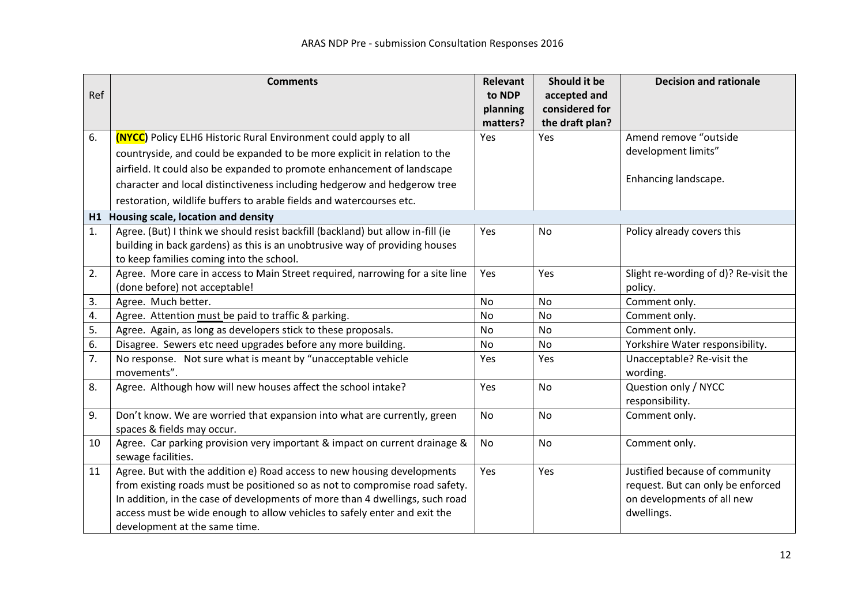|     | <b>Comments</b>                                                                 | <b>Relevant</b> | Should it be    | <b>Decision and rationale</b>         |
|-----|---------------------------------------------------------------------------------|-----------------|-----------------|---------------------------------------|
| Ref |                                                                                 | to NDP          | accepted and    |                                       |
|     |                                                                                 | planning        | considered for  |                                       |
|     |                                                                                 | matters?        | the draft plan? |                                       |
| 6.  | <b>(NYCC)</b> Policy ELH6 Historic Rural Environment could apply to all         | Yes             | Yes             | Amend remove "outside                 |
|     | countryside, and could be expanded to be more explicit in relation to the       |                 |                 | development limits"                   |
|     | airfield. It could also be expanded to promote enhancement of landscape         |                 |                 |                                       |
|     | character and local distinctiveness including hedgerow and hedgerow tree        |                 |                 | Enhancing landscape.                  |
|     | restoration, wildlife buffers to arable fields and watercourses etc.            |                 |                 |                                       |
|     | H1 Housing scale, location and density                                          |                 |                 |                                       |
| 1.  | Agree. (But) I think we should resist backfill (backland) but allow in-fill (ie | Yes             | <b>No</b>       | Policy already covers this            |
|     | building in back gardens) as this is an unobtrusive way of providing houses     |                 |                 |                                       |
|     | to keep families coming into the school.                                        |                 |                 |                                       |
| 2.  | Agree. More care in access to Main Street required, narrowing for a site line   | Yes             | Yes             | Slight re-wording of d)? Re-visit the |
|     | (done before) not acceptable!                                                   |                 |                 | policy.                               |
| 3.  | Agree. Much better.                                                             | <b>No</b>       | <b>No</b>       | Comment only.                         |
| 4.  | Agree. Attention must be paid to traffic & parking.                             | <b>No</b>       | <b>No</b>       | Comment only.                         |
| 5.  | Agree. Again, as long as developers stick to these proposals.                   | <b>No</b>       | <b>No</b>       | Comment only.                         |
| 6.  | Disagree. Sewers etc need upgrades before any more building.                    | <b>No</b>       | <b>No</b>       | Yorkshire Water responsibility.       |
| 7.  | No response. Not sure what is meant by "unacceptable vehicle                    | Yes             | Yes             | Unacceptable? Re-visit the            |
|     | movements".                                                                     |                 |                 | wording.                              |
| 8.  | Agree. Although how will new houses affect the school intake?                   | Yes             | <b>No</b>       | Question only / NYCC                  |
|     |                                                                                 |                 |                 | responsibility.                       |
| 9.  | Don't know. We are worried that expansion into what are currently, green        | <b>No</b>       | No              | Comment only.                         |
|     | spaces & fields may occur.                                                      |                 |                 |                                       |
| 10  | Agree. Car parking provision very important & impact on current drainage &      | <b>No</b>       | <b>No</b>       | Comment only.                         |
|     | sewage facilities.                                                              |                 |                 |                                       |
| 11  | Agree. But with the addition e) Road access to new housing developments         | Yes             | Yes             | Justified because of community        |
|     | from existing roads must be positioned so as not to compromise road safety.     |                 |                 | request. But can only be enforced     |
|     | In addition, in the case of developments of more than 4 dwellings, such road    |                 |                 | on developments of all new            |
|     | access must be wide enough to allow vehicles to safely enter and exit the       |                 |                 | dwellings.                            |
|     | development at the same time.                                                   |                 |                 |                                       |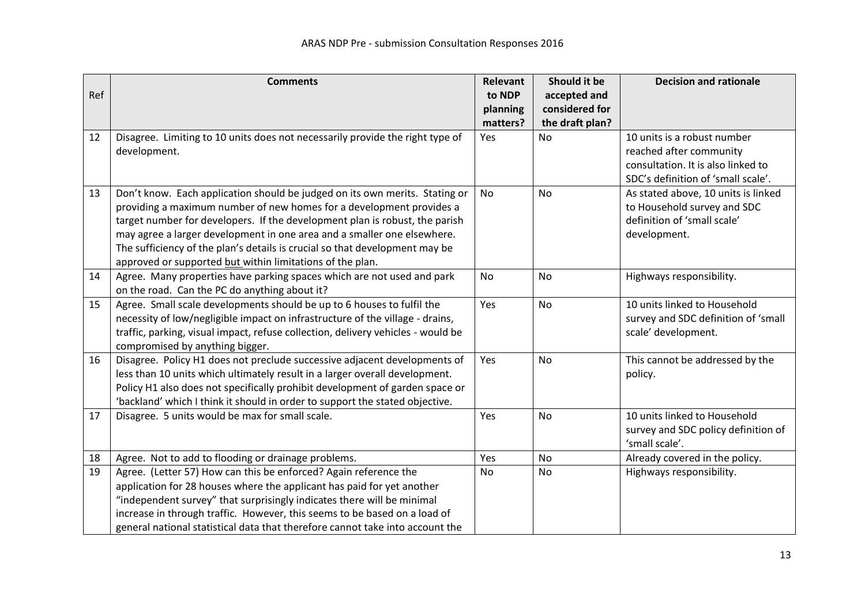|     | <b>Comments</b>                                                                                                         | <b>Relevant</b> | Should it be    | <b>Decision and rationale</b>       |
|-----|-------------------------------------------------------------------------------------------------------------------------|-----------------|-----------------|-------------------------------------|
| Ref |                                                                                                                         | to NDP          | accepted and    |                                     |
|     |                                                                                                                         | planning        | considered for  |                                     |
|     |                                                                                                                         | matters?        | the draft plan? |                                     |
| 12  | Disagree. Limiting to 10 units does not necessarily provide the right type of                                           | Yes             | <b>No</b>       | 10 units is a robust number         |
|     | development.                                                                                                            |                 |                 | reached after community             |
|     |                                                                                                                         |                 |                 | consultation. It is also linked to  |
|     |                                                                                                                         |                 |                 | SDC's definition of 'small scale'.  |
| 13  | Don't know. Each application should be judged on its own merits. Stating or                                             | No              | No              | As stated above, 10 units is linked |
|     | providing a maximum number of new homes for a development provides a                                                    |                 |                 | to Household survey and SDC         |
|     | target number for developers. If the development plan is robust, the parish                                             |                 |                 | definition of 'small scale'         |
|     | may agree a larger development in one area and a smaller one elsewhere.                                                 |                 |                 | development.                        |
|     | The sufficiency of the plan's details is crucial so that development may be                                             |                 |                 |                                     |
|     | approved or supported but within limitations of the plan.                                                               | <b>No</b>       | <b>No</b>       |                                     |
| 14  | Agree. Many properties have parking spaces which are not used and park                                                  |                 |                 | Highways responsibility.            |
| 15  | on the road. Can the PC do anything about it?<br>Agree. Small scale developments should be up to 6 houses to fulfil the | Yes             | <b>No</b>       | 10 units linked to Household        |
|     | necessity of low/negligible impact on infrastructure of the village - drains,                                           |                 |                 | survey and SDC definition of 'small |
|     | traffic, parking, visual impact, refuse collection, delivery vehicles - would be                                        |                 |                 | scale' development.                 |
|     | compromised by anything bigger.                                                                                         |                 |                 |                                     |
| 16  | Disagree. Policy H1 does not preclude successive adjacent developments of                                               | Yes             | <b>No</b>       | This cannot be addressed by the     |
|     | less than 10 units which ultimately result in a larger overall development.                                             |                 |                 | policy.                             |
|     | Policy H1 also does not specifically prohibit development of garden space or                                            |                 |                 |                                     |
|     | 'backland' which I think it should in order to support the stated objective.                                            |                 |                 |                                     |
| 17  | Disagree. 5 units would be max for small scale.                                                                         | Yes             | No              | 10 units linked to Household        |
|     |                                                                                                                         |                 |                 | survey and SDC policy definition of |
|     |                                                                                                                         |                 |                 | 'small scale'.                      |
| 18  | Agree. Not to add to flooding or drainage problems.                                                                     | Yes             | <b>No</b>       | Already covered in the policy.      |
| 19  | Agree. (Letter 57) How can this be enforced? Again reference the                                                        | <b>No</b>       | <b>No</b>       | Highways responsibility.            |
|     | application for 28 houses where the applicant has paid for yet another                                                  |                 |                 |                                     |
|     | "independent survey" that surprisingly indicates there will be minimal                                                  |                 |                 |                                     |
|     | increase in through traffic. However, this seems to be based on a load of                                               |                 |                 |                                     |
|     | general national statistical data that therefore cannot take into account the                                           |                 |                 |                                     |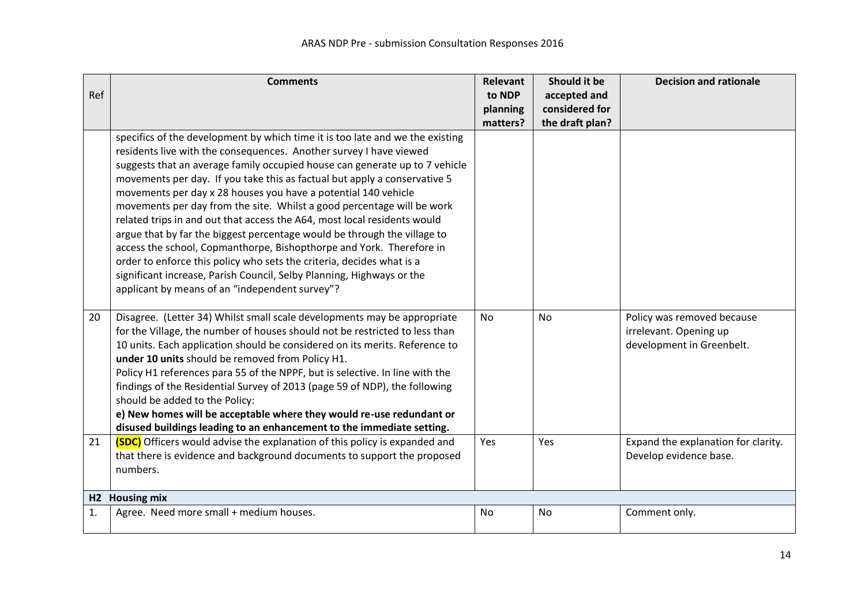|     | <b>Comments</b>                                                                                                                                   | <b>Relevant</b> | Should it be    | <b>Decision and rationale</b>       |  |  |
|-----|---------------------------------------------------------------------------------------------------------------------------------------------------|-----------------|-----------------|-------------------------------------|--|--|
| Ref |                                                                                                                                                   | to NDP          | accepted and    |                                     |  |  |
|     |                                                                                                                                                   | planning        | considered for  |                                     |  |  |
|     |                                                                                                                                                   | matters?        | the draft plan? |                                     |  |  |
|     | specifics of the development by which time it is too late and we the existing                                                                     |                 |                 |                                     |  |  |
|     | residents live with the consequences. Another survey I have viewed<br>suggests that an average family occupied house can generate up to 7 vehicle |                 |                 |                                     |  |  |
|     | movements per day. If you take this as factual but apply a conservative 5                                                                         |                 |                 |                                     |  |  |
|     | movements per day x 28 houses you have a potential 140 vehicle                                                                                    |                 |                 |                                     |  |  |
|     | movements per day from the site. Whilst a good percentage will be work                                                                            |                 |                 |                                     |  |  |
|     | related trips in and out that access the A64, most local residents would                                                                          |                 |                 |                                     |  |  |
|     | argue that by far the biggest percentage would be through the village to                                                                          |                 |                 |                                     |  |  |
|     | access the school, Copmanthorpe, Bishopthorpe and York. Therefore in                                                                              |                 |                 |                                     |  |  |
|     | order to enforce this policy who sets the criteria, decides what is a                                                                             |                 |                 |                                     |  |  |
|     | significant increase, Parish Council, Selby Planning, Highways or the                                                                             |                 |                 |                                     |  |  |
|     | applicant by means of an "independent survey"?                                                                                                    |                 |                 |                                     |  |  |
|     |                                                                                                                                                   |                 |                 |                                     |  |  |
| 20  | Disagree. (Letter 34) Whilst small scale developments may be appropriate                                                                          | <b>No</b>       | <b>No</b>       | Policy was removed because          |  |  |
|     | for the Village, the number of houses should not be restricted to less than                                                                       |                 |                 | irrelevant. Opening up              |  |  |
|     | 10 units. Each application should be considered on its merits. Reference to                                                                       |                 |                 | development in Greenbelt.           |  |  |
|     | under 10 units should be removed from Policy H1.                                                                                                  |                 |                 |                                     |  |  |
|     | Policy H1 references para 55 of the NPPF, but is selective. In line with the                                                                      |                 |                 |                                     |  |  |
|     | findings of the Residential Survey of 2013 (page 59 of NDP), the following                                                                        |                 |                 |                                     |  |  |
|     | should be added to the Policy:                                                                                                                    |                 |                 |                                     |  |  |
|     | e) New homes will be acceptable where they would re-use redundant or                                                                              |                 |                 |                                     |  |  |
|     | disused buildings leading to an enhancement to the immediate setting.                                                                             |                 |                 |                                     |  |  |
| 21  | <b>(SDC)</b> Officers would advise the explanation of this policy is expanded and                                                                 | Yes             | Yes             | Expand the explanation for clarity. |  |  |
|     | that there is evidence and background documents to support the proposed<br>numbers.                                                               |                 |                 | Develop evidence base.              |  |  |
|     |                                                                                                                                                   |                 |                 |                                     |  |  |
| H2  | <b>Housing mix</b>                                                                                                                                |                 |                 |                                     |  |  |
| 1.  | Agree. Need more small + medium houses.                                                                                                           | No              | No              | Comment only.                       |  |  |
|     |                                                                                                                                                   |                 |                 |                                     |  |  |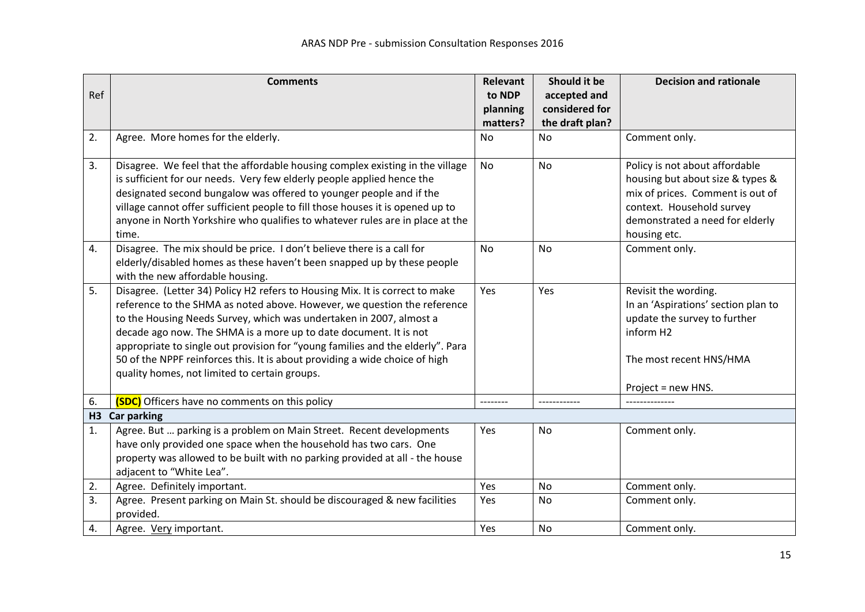|     | <b>Comments</b>                                                                                                                                          | <b>Relevant</b> | Should it be    | <b>Decision and rationale</b>                               |
|-----|----------------------------------------------------------------------------------------------------------------------------------------------------------|-----------------|-----------------|-------------------------------------------------------------|
| Ref |                                                                                                                                                          | to NDP          | accepted and    |                                                             |
|     |                                                                                                                                                          | planning        | considered for  |                                                             |
|     |                                                                                                                                                          | matters?        | the draft plan? |                                                             |
| 2.  | Agree. More homes for the elderly.                                                                                                                       | No              | <b>No</b>       | Comment only.                                               |
| 3.  | Disagree. We feel that the affordable housing complex existing in the village                                                                            | <b>No</b>       | <b>No</b>       | Policy is not about affordable                              |
|     | is sufficient for our needs. Very few elderly people applied hence the                                                                                   |                 |                 | housing but about size & types &                            |
|     | designated second bungalow was offered to younger people and if the                                                                                      |                 |                 | mix of prices. Comment is out of                            |
|     | village cannot offer sufficient people to fill those houses it is opened up to                                                                           |                 |                 | context. Household survey                                   |
|     | anyone in North Yorkshire who qualifies to whatever rules are in place at the                                                                            |                 |                 | demonstrated a need for elderly                             |
|     | time.                                                                                                                                                    |                 |                 | housing etc.                                                |
| 4.  | Disagree. The mix should be price. I don't believe there is a call for                                                                                   | <b>No</b>       | <b>No</b>       | Comment only.                                               |
|     | elderly/disabled homes as these haven't been snapped up by these people                                                                                  |                 |                 |                                                             |
|     | with the new affordable housing.                                                                                                                         |                 |                 |                                                             |
| 5.  | Disagree. (Letter 34) Policy H2 refers to Housing Mix. It is correct to make<br>reference to the SHMA as noted above. However, we question the reference | Yes             | Yes             | Revisit the wording.<br>In an 'Aspirations' section plan to |
|     | to the Housing Needs Survey, which was undertaken in 2007, almost a                                                                                      |                 |                 | update the survey to further                                |
|     | decade ago now. The SHMA is a more up to date document. It is not                                                                                        |                 |                 | inform H <sub>2</sub>                                       |
|     | appropriate to single out provision for "young families and the elderly". Para                                                                           |                 |                 |                                                             |
|     | 50 of the NPPF reinforces this. It is about providing a wide choice of high                                                                              |                 |                 | The most recent HNS/HMA                                     |
|     | quality homes, not limited to certain groups.                                                                                                            |                 |                 |                                                             |
|     |                                                                                                                                                          |                 |                 | Project = new HNS.                                          |
| 6.  | (SDC) Officers have no comments on this policy                                                                                                           |                 |                 |                                                             |
| H3  | <b>Car parking</b>                                                                                                                                       |                 |                 |                                                             |
| 1.  | Agree. But  parking is a problem on Main Street. Recent developments                                                                                     | Yes             | No              | Comment only.                                               |
|     | have only provided one space when the household has two cars. One                                                                                        |                 |                 |                                                             |
|     | property was allowed to be built with no parking provided at all - the house                                                                             |                 |                 |                                                             |
|     | adjacent to "White Lea".                                                                                                                                 |                 |                 |                                                             |
| 2.  | Agree. Definitely important.                                                                                                                             | Yes             | No              | Comment only.                                               |
| 3.  | Agree. Present parking on Main St. should be discouraged & new facilities<br>provided.                                                                   | Yes             | No              | Comment only.                                               |
| 4.  | Agree. Very important.                                                                                                                                   | Yes             | No              | Comment only.                                               |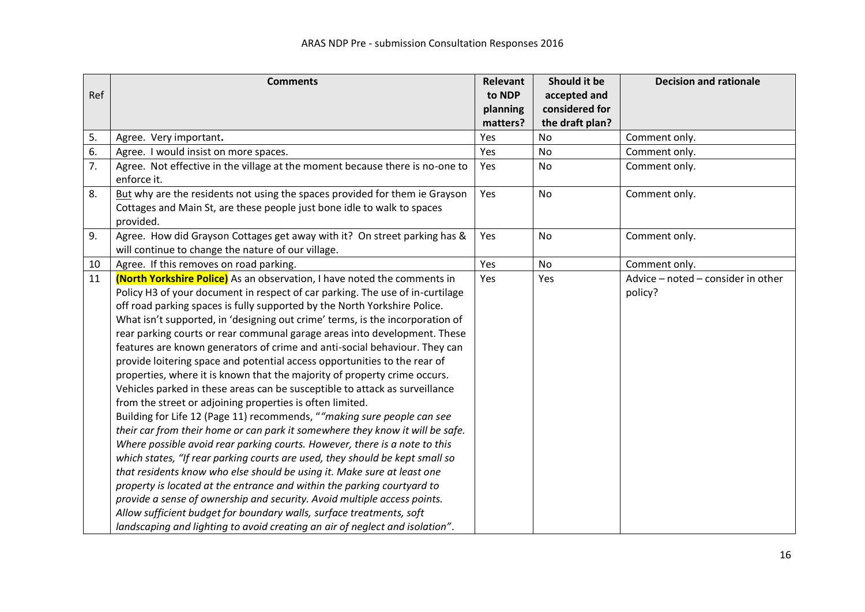|     | <b>Comments</b>                                                               | Relevant | Should it be    | <b>Decision and rationale</b>      |
|-----|-------------------------------------------------------------------------------|----------|-----------------|------------------------------------|
| Ref |                                                                               | to NDP   | accepted and    |                                    |
|     |                                                                               | planning | considered for  |                                    |
|     |                                                                               | matters? | the draft plan? |                                    |
| 5.  | Agree. Very important.                                                        | Yes      | <b>No</b>       | Comment only.                      |
| 6.  | Agree. I would insist on more spaces.                                         | Yes      | <b>No</b>       | Comment only.                      |
| 7.  | Agree. Not effective in the village at the moment because there is no-one to  | Yes      | <b>No</b>       | Comment only.                      |
|     | enforce it.                                                                   |          |                 |                                    |
| 8.  | But why are the residents not using the spaces provided for them ie Grayson   | Yes      | <b>No</b>       | Comment only.                      |
|     | Cottages and Main St, are these people just bone idle to walk to spaces       |          |                 |                                    |
|     | provided.                                                                     |          |                 |                                    |
| 9.  | Agree. How did Grayson Cottages get away with it? On street parking has &     | Yes      | <b>No</b>       | Comment only.                      |
|     | will continue to change the nature of our village.                            |          |                 |                                    |
| 10  | Agree. If this removes on road parking.                                       | Yes      | No              | Comment only.                      |
| 11  | (North Yorkshire Police) As an observation, I have noted the comments in      | Yes      | Yes             | Advice - noted - consider in other |
|     | Policy H3 of your document in respect of car parking. The use of in-curtilage |          |                 | policy?                            |
|     | off road parking spaces is fully supported by the North Yorkshire Police.     |          |                 |                                    |
|     | What isn't supported, in 'designing out crime' terms, is the incorporation of |          |                 |                                    |
|     | rear parking courts or rear communal garage areas into development. These     |          |                 |                                    |
|     | features are known generators of crime and anti-social behaviour. They can    |          |                 |                                    |
|     | provide loitering space and potential access opportunities to the rear of     |          |                 |                                    |
|     | properties, where it is known that the majority of property crime occurs.     |          |                 |                                    |
|     | Vehicles parked in these areas can be susceptible to attack as surveillance   |          |                 |                                    |
|     | from the street or adjoining properties is often limited.                     |          |                 |                                    |
|     | Building for Life 12 (Page 11) recommends, ""making sure people can see       |          |                 |                                    |
|     | their car from their home or can park it somewhere they know it will be safe. |          |                 |                                    |
|     | Where possible avoid rear parking courts. However, there is a note to this    |          |                 |                                    |
|     | which states, "If rear parking courts are used, they should be kept small so  |          |                 |                                    |
|     | that residents know who else should be using it. Make sure at least one       |          |                 |                                    |
|     | property is located at the entrance and within the parking courtyard to       |          |                 |                                    |
|     | provide a sense of ownership and security. Avoid multiple access points.      |          |                 |                                    |
|     | Allow sufficient budget for boundary walls, surface treatments, soft          |          |                 |                                    |
|     | landscaping and lighting to avoid creating an air of neglect and isolation".  |          |                 |                                    |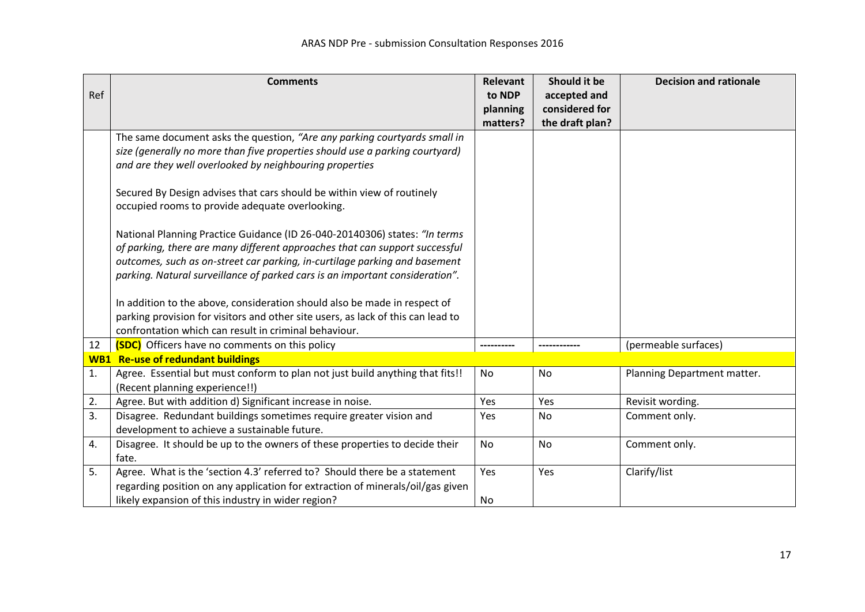|     | <b>Comments</b>                                                                  | Relevant  | Should it be    | <b>Decision and rationale</b> |
|-----|----------------------------------------------------------------------------------|-----------|-----------------|-------------------------------|
| Ref |                                                                                  | to NDP    | accepted and    |                               |
|     |                                                                                  | planning  | considered for  |                               |
|     |                                                                                  | matters?  | the draft plan? |                               |
|     | The same document asks the question, "Are any parking courtyards small in        |           |                 |                               |
|     | size (generally no more than five properties should use a parking courtyard)     |           |                 |                               |
|     | and are they well overlooked by neighbouring properties                          |           |                 |                               |
|     | Secured By Design advises that cars should be within view of routinely           |           |                 |                               |
|     | occupied rooms to provide adequate overlooking.                                  |           |                 |                               |
|     | National Planning Practice Guidance (ID 26-040-20140306) states: "In terms       |           |                 |                               |
|     | of parking, there are many different approaches that can support successful      |           |                 |                               |
|     | outcomes, such as on-street car parking, in-curtilage parking and basement       |           |                 |                               |
|     | parking. Natural surveillance of parked cars is an important consideration".     |           |                 |                               |
|     |                                                                                  |           |                 |                               |
|     | In addition to the above, consideration should also be made in respect of        |           |                 |                               |
|     | parking provision for visitors and other site users, as lack of this can lead to |           |                 |                               |
|     | confrontation which can result in criminal behaviour.                            |           |                 |                               |
| 12  | (SDC) Officers have no comments on this policy                                   |           |                 | (permeable surfaces)          |
|     | <b>WB1</b> Re-use of redundant buildings                                         |           |                 |                               |
| 1.  | Agree. Essential but must conform to plan not just build anything that fits!!    | <b>No</b> | No              | Planning Department matter.   |
|     | (Recent planning experience!!)                                                   |           |                 |                               |
| 2.  | Agree. But with addition d) Significant increase in noise.                       | Yes       | Yes             | Revisit wording.              |
| 3.  | Disagree. Redundant buildings sometimes require greater vision and               | Yes       | <b>No</b>       | Comment only.                 |
|     | development to achieve a sustainable future.                                     |           |                 |                               |
| 4.  | Disagree. It should be up to the owners of these properties to decide their      | <b>No</b> | No              | Comment only.                 |
|     | fate.                                                                            |           |                 |                               |
| 5.  | Agree. What is the 'section 4.3' referred to? Should there be a statement        | Yes       | Yes             | Clarify/list                  |
|     | regarding position on any application for extraction of minerals/oil/gas given   |           |                 |                               |
|     | likely expansion of this industry in wider region?                               | No        |                 |                               |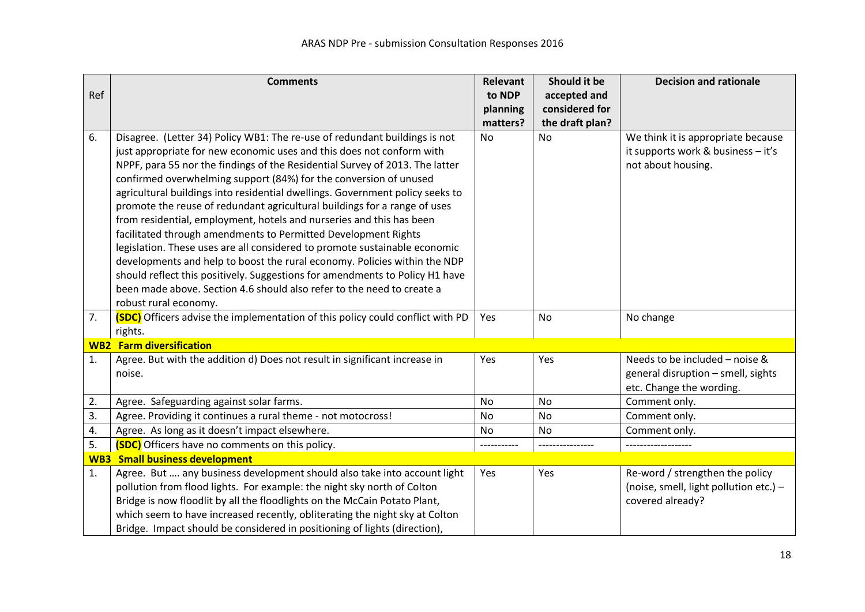|     | <b>Comments</b>                                                                | Relevant  | Should it be    | <b>Decision and rationale</b>          |
|-----|--------------------------------------------------------------------------------|-----------|-----------------|----------------------------------------|
| Ref |                                                                                | to NDP    | accepted and    |                                        |
|     |                                                                                | planning  | considered for  |                                        |
|     |                                                                                | matters?  | the draft plan? |                                        |
| 6.  | Disagree. (Letter 34) Policy WB1: The re-use of redundant buildings is not     | No        | No              | We think it is appropriate because     |
|     | just appropriate for new economic uses and this does not conform with          |           |                 | it supports work & business - it's     |
|     | NPPF, para 55 nor the findings of the Residential Survey of 2013. The latter   |           |                 | not about housing.                     |
|     | confirmed overwhelming support (84%) for the conversion of unused              |           |                 |                                        |
|     | agricultural buildings into residential dwellings. Government policy seeks to  |           |                 |                                        |
|     | promote the reuse of redundant agricultural buildings for a range of uses      |           |                 |                                        |
|     | from residential, employment, hotels and nurseries and this has been           |           |                 |                                        |
|     | facilitated through amendments to Permitted Development Rights                 |           |                 |                                        |
|     | legislation. These uses are all considered to promote sustainable economic     |           |                 |                                        |
|     | developments and help to boost the rural economy. Policies within the NDP      |           |                 |                                        |
|     | should reflect this positively. Suggestions for amendments to Policy H1 have   |           |                 |                                        |
|     | been made above. Section 4.6 should also refer to the need to create a         |           |                 |                                        |
|     | robust rural economy.                                                          |           |                 |                                        |
| 7.  | (SDC) Officers advise the implementation of this policy could conflict with PD | Yes       | No              | No change                              |
|     | rights.                                                                        |           |                 |                                        |
|     | <b>WB2</b> Farm diversification                                                |           |                 |                                        |
| 1.  | Agree. But with the addition d) Does not result in significant increase in     | Yes       | Yes             | Needs to be included - noise &         |
|     | noise.                                                                         |           |                 | general disruption - smell, sights     |
|     |                                                                                |           |                 | etc. Change the wording.               |
| 2.  | Agree. Safeguarding against solar farms.                                       | <b>No</b> | <b>No</b>       | Comment only.                          |
| 3.  | Agree. Providing it continues a rural theme - not motocross!                   | No        | No              | Comment only.                          |
| 4.  | Agree. As long as it doesn't impact elsewhere.                                 | No        | No              | Comment only.                          |
| 5.  | (SDC) Officers have no comments on this policy.                                |           |                 |                                        |
|     | <b>WB3</b> Small business development                                          |           |                 |                                        |
| 1.  | Agree. But  any business development should also take into account light       | Yes       | Yes             | Re-word / strengthen the policy        |
|     | pollution from flood lights. For example: the night sky north of Colton        |           |                 | (noise, smell, light pollution etc.) - |
|     | Bridge is now floodlit by all the floodlights on the McCain Potato Plant,      |           |                 | covered already?                       |
|     | which seem to have increased recently, obliterating the night sky at Colton    |           |                 |                                        |
|     | Bridge. Impact should be considered in positioning of lights (direction),      |           |                 |                                        |